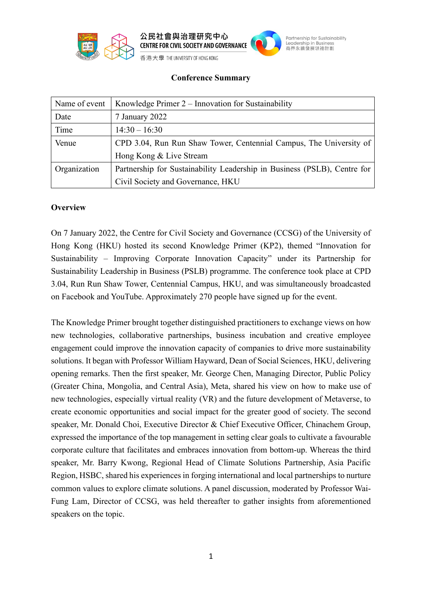



Partnership for Sustainability Leadership in Business<br>商界永續發展領袖計劃

**Conference Summary**

| Name of event | Knowledge Primer 2 – Innovation for Sustainability                       |
|---------------|--------------------------------------------------------------------------|
| Date          | 7 January 2022                                                           |
| Time          | $14:30 - 16:30$                                                          |
| Venue         | CPD 3.04, Run Run Shaw Tower, Centennial Campus, The University of       |
|               | Hong Kong & Live Stream                                                  |
| Organization  | Partnership for Sustainability Leadership in Business (PSLB), Centre for |
|               | Civil Society and Governance, HKU                                        |

## **Overview**

On 7 January 2022, the Centre for Civil Society and Governance (CCSG) of the University of Hong Kong (HKU) hosted its second Knowledge Primer (KP2), themed "Innovation for Sustainability – Improving Corporate Innovation Capacity" under its Partnership for Sustainability Leadership in Business (PSLB) programme. The conference took place at CPD 3.04, Run Run Shaw Tower, Centennial Campus, HKU, and was simultaneously broadcasted on Facebook and YouTube. Approximately 270 people have signed up for the event.

The Knowledge Primer brought together distinguished practitioners to exchange views on how new technologies, collaborative partnerships, business incubation and creative employee engagement could improve the innovation capacity of companies to drive more sustainability solutions. It began with Professor William Hayward, Dean of Social Sciences, HKU, delivering opening remarks. Then the first speaker, Mr. George Chen, Managing Director, Public Policy (Greater China, Mongolia, and Central Asia), Meta, shared his view on how to make use of new technologies, especially virtual reality (VR) and the future development of Metaverse, to create economic opportunities and social impact for the greater good of society. The second speaker, Mr. Donald Choi, Executive Director & Chief Executive Officer, Chinachem Group, expressed the importance of the top management in setting clear goals to cultivate a favourable corporate culture that facilitates and embraces innovation from bottom-up. Whereas the third speaker, Mr. Barry Kwong, Regional Head of Climate Solutions Partnership, Asia Pacific Region, HSBC, shared his experiences in forging international and local partnerships to nurture common values to explore climate solutions. A panel discussion, moderated by Professor Wai-Fung Lam, Director of CCSG, was held thereafter to gather insights from aforementioned speakers on the topic.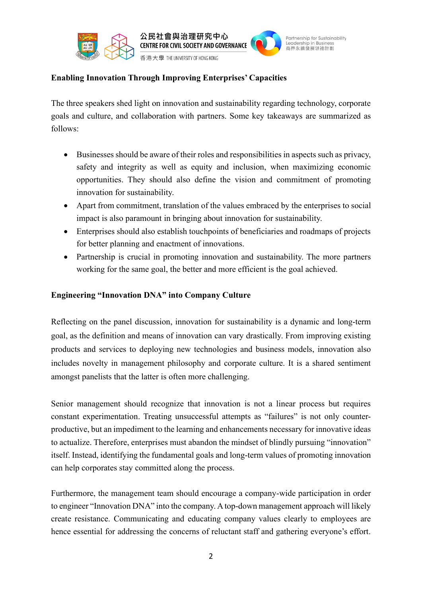



Partnership for Sustainability Leadership in Business<br>商界永續發展領袖計劃

香港大學 THE UNIVERSITY OF HONG KONG

## **Enabling Innovation Through Improving Enterprises' Capacities**

The three speakers shed light on innovation and sustainability regarding technology, corporate goals and culture, and collaboration with partners. Some key takeaways are summarized as follows:

- Businesses should be aware of their roles and responsibilities in aspects such as privacy, safety and integrity as well as equity and inclusion, when maximizing economic opportunities. They should also define the vision and commitment of promoting innovation for sustainability.
- Apart from commitment, translation of the values embraced by the enterprises to social impact is also paramount in bringing about innovation for sustainability.
- Enterprises should also establish touchpoints of beneficiaries and roadmaps of projects for better planning and enactment of innovations.
- Partnership is crucial in promoting innovation and sustainability. The more partners working for the same goal, the better and more efficient is the goal achieved.

## **Engineering "Innovation DNA" into Company Culture**

Reflecting on the panel discussion, innovation for sustainability is a dynamic and long-term goal, as the definition and means of innovation can vary drastically. From improving existing products and services to deploying new technologies and business models, innovation also includes novelty in management philosophy and corporate culture. It is a shared sentiment amongst panelists that the latter is often more challenging.

Senior management should recognize that innovation is not a linear process but requires constant experimentation. Treating unsuccessful attempts as "failures" is not only counterproductive, but an impediment to the learning and enhancements necessary for innovative ideas to actualize. Therefore, enterprises must abandon the mindset of blindly pursuing "innovation" itself. Instead, identifying the fundamental goals and long-term values of promoting innovation can help corporates stay committed along the process.

Furthermore, the management team should encourage a company-wide participation in order to engineer "Innovation DNA" into the company. A top-down management approach will likely create resistance. Communicating and educating company values clearly to employees are hence essential for addressing the concerns of reluctant staff and gathering everyone's effort.